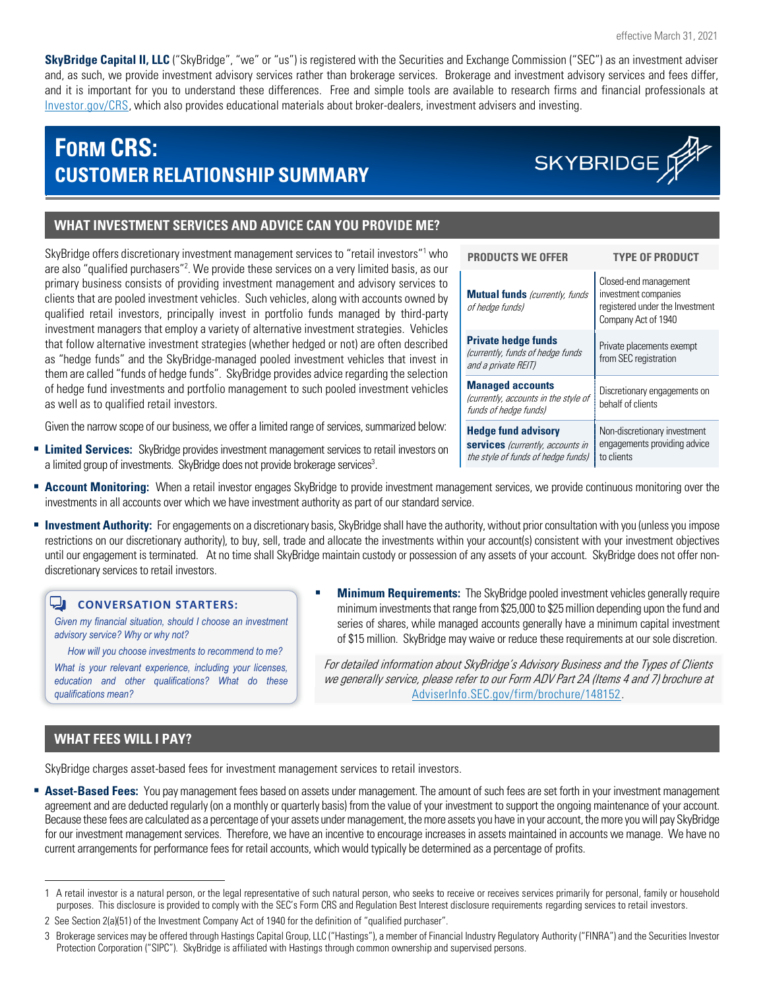**SkyBridge Capital II, LLC** ("SkyBridge", "we" or "us") is registered with the Securities and Exchange Commission ("SEC") as an investment adviser and, as such, we provide investment advisory services rather than brokerage services. Brokerage and investment advisory services and fees differ, and it is important for you to understand these differences. Free and simple tools are available to research firms and financial professionals at [Investor.gov/CRS,](https://www.investor.gov/CRS) which also provides educational materials about broker-dealers, investment advisers and investing.

## **FORM CRS: CUSTOMER RELATIONSHIP SUMMARY**

.

# SKYBRIDGE

## **WHAT INVESTMENT SERVICES AND ADVICE CAN YOU PROVIDE ME?**

SkyBridge offers discretionary investment management services to "retail investors"<sup>1</sup> who are also "qualified purchasers"<sup>2</sup>. We provide these services on a very limited basis, as our primary business consists of providing investment management and advisory services to clients that are pooled investment vehicles. Such vehicles, along with accounts owned by qualified retail investors, principally invest in portfolio funds managed by third-party investment managers that employ a variety of alternative investment strategies. Vehicles that follow alternative investment strategies (whether hedged or not) are often described as "hedge funds" and the SkyBridge-managed pooled investment vehicles that invest in them are called "funds of hedge funds". SkyBridge provides advice regarding the selection of hedge fund investments and portfolio management to such pooled investment vehicles as well as to qualified retail investors.

Given the narrow scope of our business, we offer a limited range of services, summarized below:

- **Limited Services:** SkyBridge provides investment management services to retail investors on a limited group of investments. SkyBridge does not provide brokerage services<sup>3</sup>.
- **Account Monitoring:** When a retail investor engages SkyBridge to provide investment management services, we provide continuous monitoring over the investments in all accounts over which we have investment authority as part of our standard service.
- **Investment Authority:** For engagements on a discretionary basis, SkyBridge shall have the authority, without prior consultation with you (unless you impose restrictions on our discretionary authority), to buy, sell, trade and allocate the investments within your account(s) consistent with your investment objectives until our engagement is terminated. At no time shall SkyBridge maintain custody or possession of any assets of your account. SkyBridge does not offer nondiscretionary services to retail investors.

#### Q. **CONVERSATION STARTERS:**

*Given my financial situation, should I choose an investment advisory service? Why or why not?*

*How will you choose investments to recommend to me?*

*What is your relevant experience, including your licenses, education and other qualifications? What do these qualifications mean?*

 **Minimum Requirements:** The SkyBridge pooled investment vehicles generally require minimum investments that range from \$25,000 to \$25 million depending upon the fund and series of shares, while managed accounts generally have a minimum capital investment of \$15 million. SkyBridge may waive or reduce these requirements at our sole discretion.

For detailed information about SkyBridge's Advisory Business and the Types of Clients we generally service, please refer to our Form ADV Part 2A (Items 4 and 7) brochure at [AdviserInfo.SEC.gov/firm/brochure/148152](https://adviserinfo.sec.gov/firm/brochure/148152).

## **WHAT FEES WILL I PAY?**

SkyBridge charges asset-based fees for investment management services to retail investors.

 **Asset-Based Fees:** You pay management fees based on assets under management. The amount of such fees are set forth in your investment management agreement and are deducted regularly (on a monthly or quarterly basis) from the value of your investment to support the ongoing maintenance of your account. Because these fees are calculated as a percentage of your assets under management, themore assets you have in your account, the more you will pay SkyBridge for our investment management services. Therefore, we have an incentive to encourage increases in assets maintained in accounts we manage. We have no current arrangements for performance fees for retail accounts, which would typically be determined as a percentage of profits.

| <b>PRODUCTS WE OFFER</b>                                                                             | <b>TYPE OF PRODUCT</b>                                                                                  |
|------------------------------------------------------------------------------------------------------|---------------------------------------------------------------------------------------------------------|
| <b>Mutual funds</b> (currently, funds<br>of hedge funds)                                             | Closed-end management<br>investment companies<br>registered under the Investment<br>Company Act of 1940 |
| <b>Private hedge funds</b><br>(currently, funds of hedge funds<br>and a private REIT)                | Private placements exempt<br>from SEC registration                                                      |
| <b>Managed accounts</b><br>(currently, accounts in the style of<br>funds of hedge funds)             | Discretionary engagements on<br>behalf of clients                                                       |
| <b>Hedge fund advisory</b><br>services (currently, accounts in<br>the style of funds of hedge funds) | Non-discretionary investment<br>engagements providing advice<br>to clients                              |

<sup>1</sup> A retail investor is a natural person, or the legal representative of such natural person, who seeks to receive or receives services primarily for personal, family or household purposes. This disclosure is provided to comply with the SEC's Form CRS and Regulation Best Interest disclosure requirements regarding services to retail investors.

<sup>2</sup> Se[e Section 2\(a\)\(51\) of the Investment Company Act](https://www.sec.gov/about/laws/ica40.pdf) of 1940 for the definition of "qualified purchaser".

<sup>3</sup> Brokerage services may be offered through Hastings Capital Group, LLC ("Hastings"), a member of Financial Industry Regulatory Authority ("FINRA") and the Securities Investor Protection Corporation ("SIPC"). SkyBridge is affiliated with Hastings through common ownership and supervised persons.